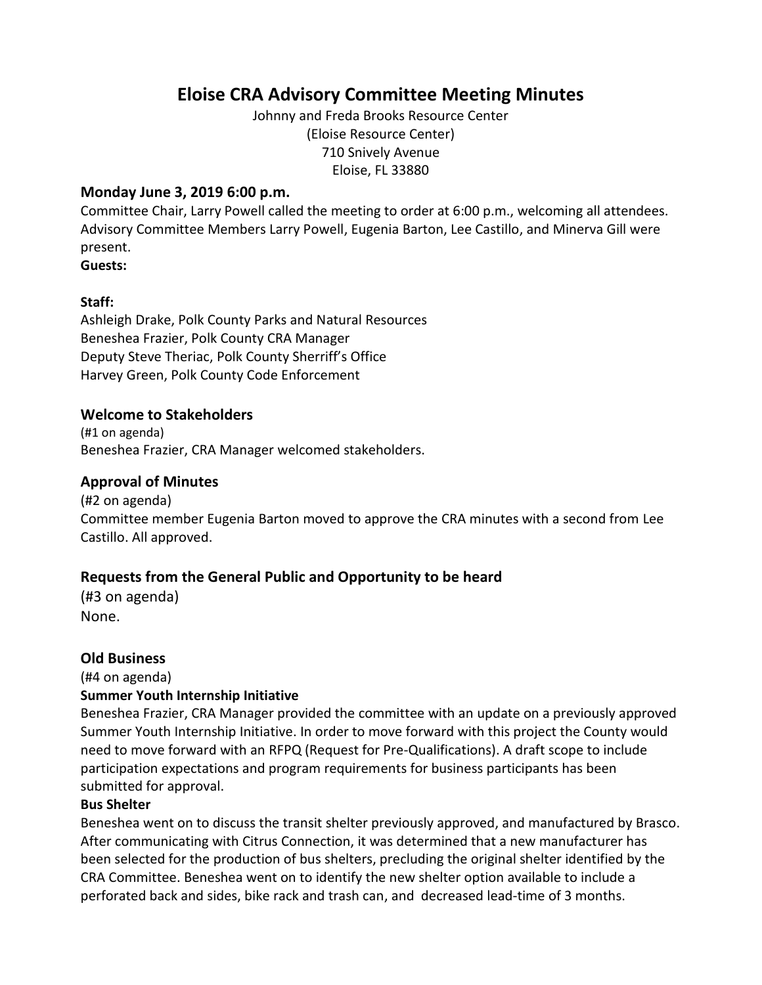# **Eloise CRA Advisory Committee Meeting Minutes**

Johnny and Freda Brooks Resource Center (Eloise Resource Center) 710 Snively Avenue Eloise, FL 33880

#### **Monday June 3, 2019 6:00 p.m.**

Committee Chair, Larry Powell called the meeting to order at 6:00 p.m., welcoming all attendees. Advisory Committee Members Larry Powell, Eugenia Barton, Lee Castillo, and Minerva Gill were present.

**Guests:** 

#### **Staff:**

Ashleigh Drake, Polk County Parks and Natural Resources Beneshea Frazier, Polk County CRA Manager Deputy Steve Theriac, Polk County Sherriff's Office Harvey Green, Polk County Code Enforcement

#### **Welcome to Stakeholders**

(#1 on agenda) Beneshea Frazier, CRA Manager welcomed stakeholders.

#### **Approval of Minutes**

(#2 on agenda) Committee member Eugenia Barton moved to approve the CRA minutes with a second from Lee Castillo. All approved.

#### **Requests from the General Public and Opportunity to be heard**

(#3 on agenda) None.

#### **Old Business**

(#4 on agenda)

#### **Summer Youth Internship Initiative**

Beneshea Frazier, CRA Manager provided the committee with an update on a previously approved Summer Youth Internship Initiative. In order to move forward with this project the County would need to move forward with an RFPQ (Request for Pre-Qualifications). A draft scope to include participation expectations and program requirements for business participants has been submitted for approval.

#### **Bus Shelter**

Beneshea went on to discuss the transit shelter previously approved, and manufactured by Brasco. After communicating with Citrus Connection, it was determined that a new manufacturer has been selected for the production of bus shelters, precluding the original shelter identified by the CRA Committee. Beneshea went on to identify the new shelter option available to include a perforated back and sides, bike rack and trash can, and decreased lead-time of 3 months.